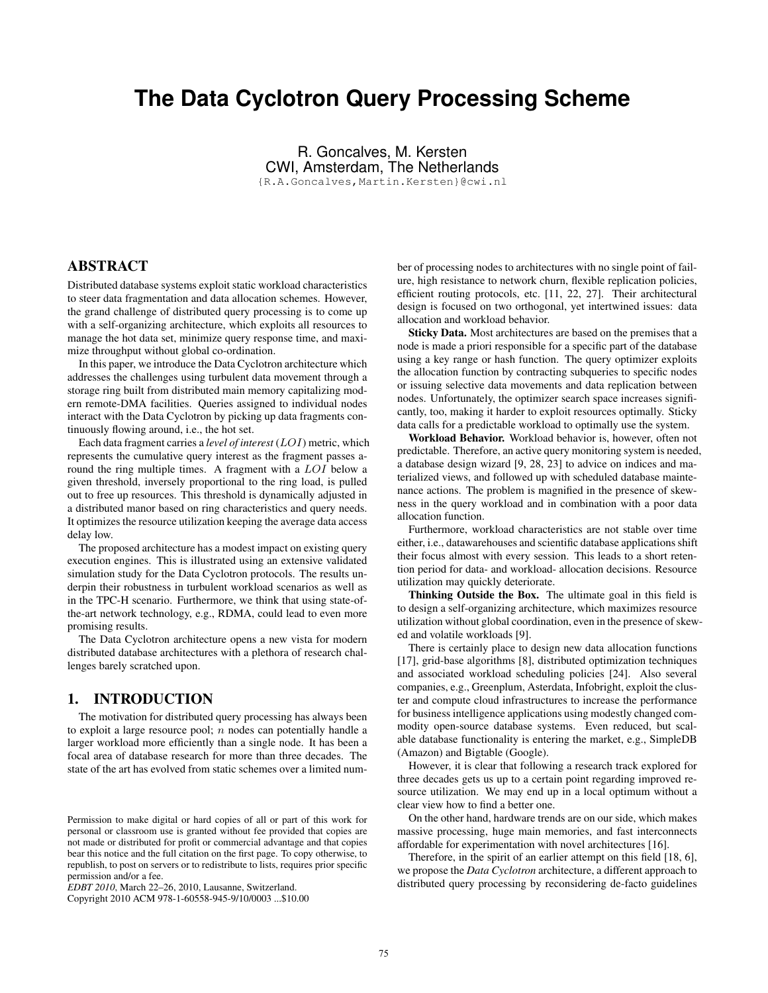# **The Data Cyclotron Query Processing Scheme**

R. Goncalves, M. Kersten CWI, Amsterdam, The Netherlands {R.A.Goncalves,Martin.Kersten}@cwi.nl

ABSTRACT

Distributed database systems exploit static workload characteristics to steer data fragmentation and data allocation schemes. However, the grand challenge of distributed query processing is to come up with a self-organizing architecture, which exploits all resources to manage the hot data set, minimize query response time, and maximize throughput without global co-ordination.

In this paper, we introduce the Data Cyclotron architecture which addresses the challenges using turbulent data movement through a storage ring built from distributed main memory capitalizing modern remote-DMA facilities. Queries assigned to individual nodes interact with the Data Cyclotron by picking up data fragments continuously flowing around, i.e., the hot set.

Each data fragment carries a *level of interest* (LOI) metric, which represents the cumulative query interest as the fragment passes around the ring multiple times. A fragment with a LOI below a given threshold, inversely proportional to the ring load, is pulled out to free up resources. This threshold is dynamically adjusted in a distributed manor based on ring characteristics and query needs. It optimizes the resource utilization keeping the average data access delay low.

The proposed architecture has a modest impact on existing query execution engines. This is illustrated using an extensive validated simulation study for the Data Cyclotron protocols. The results underpin their robustness in turbulent workload scenarios as well as in the TPC-H scenario. Furthermore, we think that using state-ofthe-art network technology, e.g., RDMA, could lead to even more promising results.

The Data Cyclotron architecture opens a new vista for modern distributed database architectures with a plethora of research challenges barely scratched upon.

# 1. INTRODUCTION

The motivation for distributed query processing has always been to exploit a large resource pool;  $n$  nodes can potentially handle a larger workload more efficiently than a single node. It has been a focal area of database research for more than three decades. The state of the art has evolved from static schemes over a limited num-

Copyright 2010 ACM 978-1-60558-945-9/10/0003 ...\$10.00

ber of processing nodes to architectures with no single point of failure, high resistance to network churn, flexible replication policies, efficient routing protocols, etc. [11, 22, 27]. Their architectural design is focused on two orthogonal, yet intertwined issues: data allocation and workload behavior.

Sticky Data. Most architectures are based on the premises that a node is made a priori responsible for a specific part of the database using a key range or hash function. The query optimizer exploits the allocation function by contracting subqueries to specific nodes or issuing selective data movements and data replication between nodes. Unfortunately, the optimizer search space increases significantly, too, making it harder to exploit resources optimally. Sticky data calls for a predictable workload to optimally use the system.

Workload Behavior. Workload behavior is, however, often not predictable. Therefore, an active query monitoring system is needed, a database design wizard [9, 28, 23] to advice on indices and materialized views, and followed up with scheduled database maintenance actions. The problem is magnified in the presence of skewness in the query workload and in combination with a poor data allocation function.

Furthermore, workload characteristics are not stable over time either, i.e., datawarehouses and scientific database applications shift their focus almost with every session. This leads to a short retention period for data- and workload- allocation decisions. Resource utilization may quickly deteriorate.

Thinking Outside the Box. The ultimate goal in this field is to design a self-organizing architecture, which maximizes resource utilization without global coordination, even in the presence of skewed and volatile workloads [9].

There is certainly place to design new data allocation functions [17], grid-base algorithms [8], distributed optimization techniques and associated workload scheduling policies [24]. Also several companies, e.g., Greenplum, Asterdata, Infobright, exploit the cluster and compute cloud infrastructures to increase the performance for business intelligence applications using modestly changed commodity open-source database systems. Even reduced, but scalable database functionality is entering the market, e.g., SimpleDB (Amazon) and Bigtable (Google).

However, it is clear that following a research track explored for three decades gets us up to a certain point regarding improved resource utilization. We may end up in a local optimum without a clear view how to find a better one.

On the other hand, hardware trends are on our side, which makes massive processing, huge main memories, and fast interconnects affordable for experimentation with novel architectures [16].

Therefore, in the spirit of an earlier attempt on this field [18, 6], we propose the *Data Cyclotron* architecture, a different approach to distributed query processing by reconsidering de-facto guidelines

Permission to make digital or hard copies of all or part of this work for personal or classroom use is granted without fee provided that copies are not made or distributed for profit or commercial advantage and that copies bear this notice and the full citation on the first page. To copy otherwise, to republish, to post on servers or to redistribute to lists, requires prior specific permission and/or a fee.

*EDBT 2010*, March 22–26, 2010, Lausanne, Switzerland.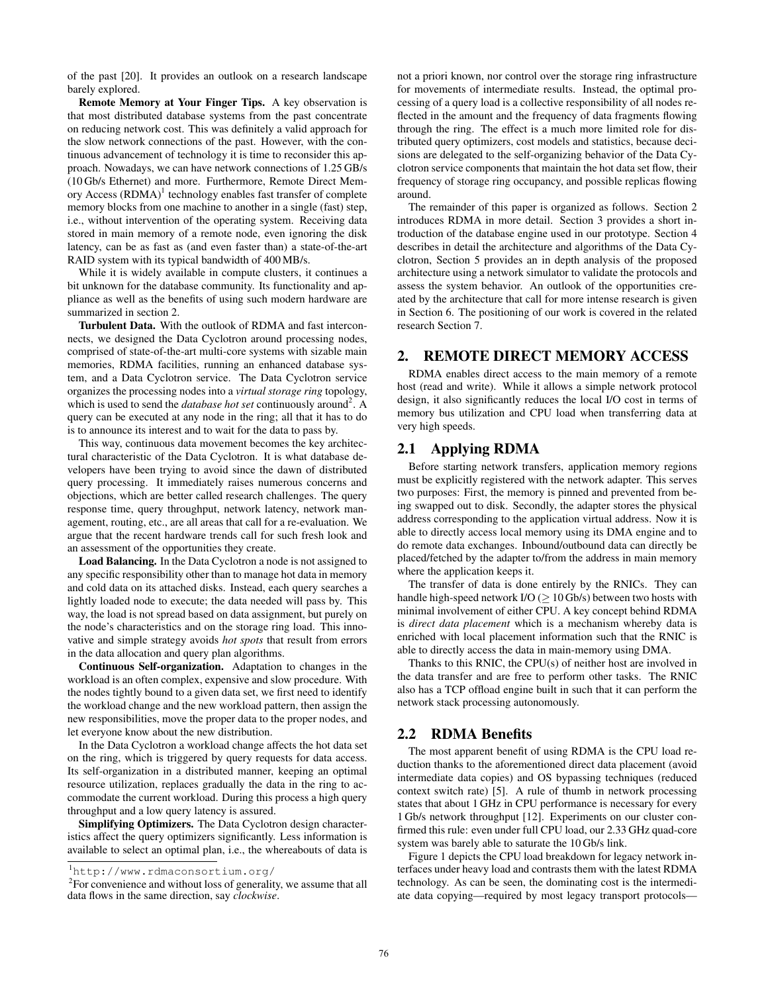of the past [20]. It provides an outlook on a research landscape barely explored.

Remote Memory at Your Finger Tips. A key observation is that most distributed database systems from the past concentrate on reducing network cost. This was definitely a valid approach for the slow network connections of the past. However, with the continuous advancement of technology it is time to reconsider this approach. Nowadays, we can have network connections of 1.25 GB/s (10 Gb/s Ethernet) and more. Furthermore, Remote Direct Memory Access (RDMA)<sup>1</sup> technology enables fast transfer of complete memory blocks from one machine to another in a single (fast) step, i.e., without intervention of the operating system. Receiving data stored in main memory of a remote node, even ignoring the disk latency, can be as fast as (and even faster than) a state-of-the-art RAID system with its typical bandwidth of 400 MB/s.

While it is widely available in compute clusters, it continues a bit unknown for the database community. Its functionality and appliance as well as the benefits of using such modern hardware are summarized in section 2.

Turbulent Data. With the outlook of RDMA and fast interconnects, we designed the Data Cyclotron around processing nodes, comprised of state-of-the-art multi-core systems with sizable main memories, RDMA facilities, running an enhanced database system, and a Data Cyclotron service. The Data Cyclotron service organizes the processing nodes into a *virtual storage ring* topology, which is used to send the *database hot set* continuously around<sup>2</sup>. A query can be executed at any node in the ring; all that it has to do is to announce its interest and to wait for the data to pass by.

This way, continuous data movement becomes the key architectural characteristic of the Data Cyclotron. It is what database developers have been trying to avoid since the dawn of distributed query processing. It immediately raises numerous concerns and objections, which are better called research challenges. The query response time, query throughput, network latency, network management, routing, etc., are all areas that call for a re-evaluation. We argue that the recent hardware trends call for such fresh look and an assessment of the opportunities they create.

Load Balancing. In the Data Cyclotron a node is not assigned to any specific responsibility other than to manage hot data in memory and cold data on its attached disks. Instead, each query searches a lightly loaded node to execute; the data needed will pass by. This way, the load is not spread based on data assignment, but purely on the node's characteristics and on the storage ring load. This innovative and simple strategy avoids *hot spots* that result from errors in the data allocation and query plan algorithms.

Continuous Self-organization. Adaptation to changes in the workload is an often complex, expensive and slow procedure. With the nodes tightly bound to a given data set, we first need to identify the workload change and the new workload pattern, then assign the new responsibilities, move the proper data to the proper nodes, and let everyone know about the new distribution.

In the Data Cyclotron a workload change affects the hot data set on the ring, which is triggered by query requests for data access. Its self-organization in a distributed manner, keeping an optimal resource utilization, replaces gradually the data in the ring to accommodate the current workload. During this process a high query throughput and a low query latency is assured.

Simplifying Optimizers. The Data Cyclotron design characteristics affect the query optimizers significantly. Less information is available to select an optimal plan, i.e., the whereabouts of data is

not a priori known, nor control over the storage ring infrastructure for movements of intermediate results. Instead, the optimal processing of a query load is a collective responsibility of all nodes reflected in the amount and the frequency of data fragments flowing through the ring. The effect is a much more limited role for distributed query optimizers, cost models and statistics, because decisions are delegated to the self-organizing behavior of the Data Cyclotron service components that maintain the hot data set flow, their frequency of storage ring occupancy, and possible replicas flowing around.

The remainder of this paper is organized as follows. Section 2 introduces RDMA in more detail. Section 3 provides a short introduction of the database engine used in our prototype. Section 4 describes in detail the architecture and algorithms of the Data Cyclotron, Section 5 provides an in depth analysis of the proposed architecture using a network simulator to validate the protocols and assess the system behavior. An outlook of the opportunities created by the architecture that call for more intense research is given in Section 6. The positioning of our work is covered in the related research Section 7.

# 2. REMOTE DIRECT MEMORY ACCESS

RDMA enables direct access to the main memory of a remote host (read and write). While it allows a simple network protocol design, it also significantly reduces the local I/O cost in terms of memory bus utilization and CPU load when transferring data at very high speeds.

#### 2.1 Applying RDMA

Before starting network transfers, application memory regions must be explicitly registered with the network adapter. This serves two purposes: First, the memory is pinned and prevented from being swapped out to disk. Secondly, the adapter stores the physical address corresponding to the application virtual address. Now it is able to directly access local memory using its DMA engine and to do remote data exchanges. Inbound/outbound data can directly be placed/fetched by the adapter to/from the address in main memory where the application keeps it.

The transfer of data is done entirely by the RNICs. They can handle high-speed network I/O ( $\geq$  10 Gb/s) between two hosts with minimal involvement of either CPU. A key concept behind RDMA is *direct data placement* which is a mechanism whereby data is enriched with local placement information such that the RNIC is able to directly access the data in main-memory using DMA.

Thanks to this RNIC, the CPU(s) of neither host are involved in the data transfer and are free to perform other tasks. The RNIC also has a TCP offload engine built in such that it can perform the network stack processing autonomously.

#### 2.2 RDMA Benefits

The most apparent benefit of using RDMA is the CPU load reduction thanks to the aforementioned direct data placement (avoid intermediate data copies) and OS bypassing techniques (reduced context switch rate) [5]. A rule of thumb in network processing states that about 1 GHz in CPU performance is necessary for every 1 Gb/s network throughput [12]. Experiments on our cluster confirmed this rule: even under full CPU load, our 2.33 GHz quad-core system was barely able to saturate the 10 Gb/s link.

Figure 1 depicts the CPU load breakdown for legacy network interfaces under heavy load and contrasts them with the latest RDMA technology. As can be seen, the dominating cost is the intermediate data copying—required by most legacy transport protocols—

<sup>1</sup>http://www.rdmaconsortium.org/

 $2^2$ For convenience and without loss of generality, we assume that all data flows in the same direction, say *clockwise*.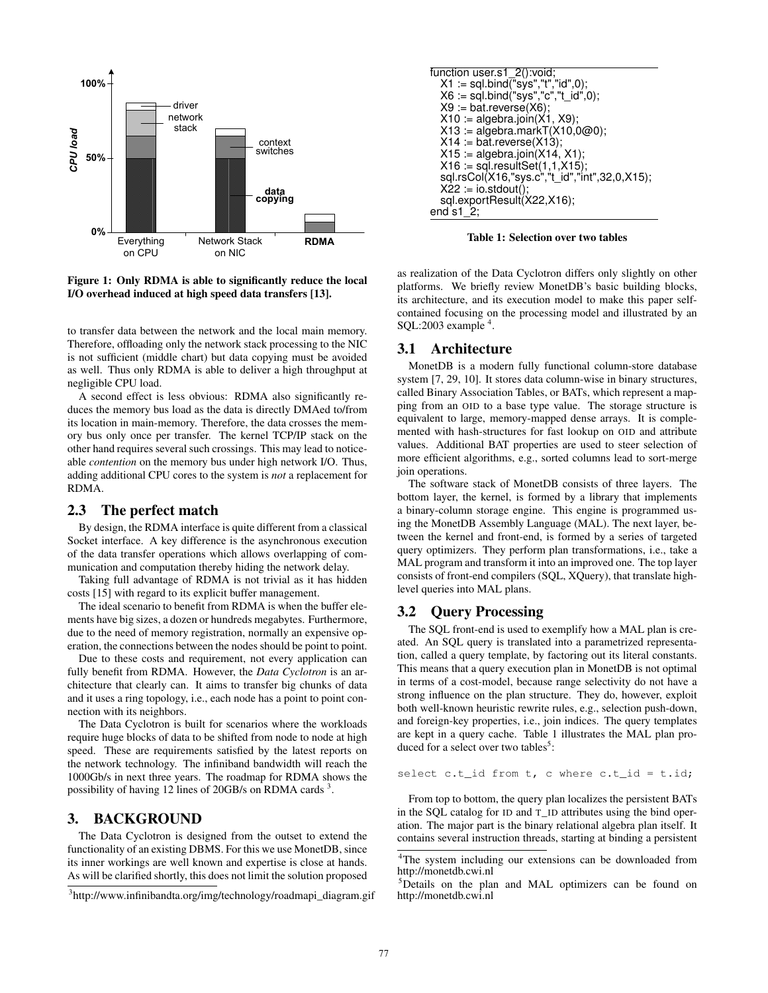

Figure 1: Only RDMA is able to significantly reduce the local I/O overhead induced at high speed data transfers [13].

to transfer data between the network and the local main memory. Therefore, offloading only the network stack processing to the NIC is not sufficient (middle chart) but data copying must be avoided as well. Thus only RDMA is able to deliver a high throughput at negligible CPU load.

A second effect is less obvious: RDMA also significantly reduces the memory bus load as the data is directly DMAed to/from its location in main-memory. Therefore, the data crosses the memory bus only once per transfer. The kernel TCP/IP stack on the other hand requires several such crossings. This may lead to noticeable *contention* on the memory bus under high network I/O. Thus, adding additional CPU cores to the system is *not* a replacement for RDMA.

# 2.3 The perfect match

By design, the RDMA interface is quite different from a classical Socket interface. A key difference is the asynchronous execution of the data transfer operations which allows overlapping of communication and computation thereby hiding the network delay.

Taking full advantage of RDMA is not trivial as it has hidden costs [15] with regard to its explicit buffer management.

The ideal scenario to benefit from RDMA is when the buffer elements have big sizes, a dozen or hundreds megabytes. Furthermore, due to the need of memory registration, normally an expensive operation, the connections between the nodes should be point to point.

Due to these costs and requirement, not every application can fully benefit from RDMA. However, the *Data Cyclotron* is an architecture that clearly can. It aims to transfer big chunks of data and it uses a ring topology, i.e., each node has a point to point connection with its neighbors.

The Data Cyclotron is built for scenarios where the workloads require huge blocks of data to be shifted from node to node at high speed. These are requirements satisfied by the latest reports on the network technology. The infiniband bandwidth will reach the 1000Gb/s in next three years. The roadmap for RDMA shows the possibility of having 12 lines of 20GB/s on RDMA cards<sup>3</sup>.

### 3. BACKGROUND

The Data Cyclotron is designed from the outset to extend the functionality of an existing DBMS. For this we use MonetDB, since its inner workings are well known and expertise is close at hands. As will be clarified shortly, this does not limit the solution proposed

```
function user.s1_2():void;
  X1 := sql.bind("sys","t","id",0);
  X6 := sql.bind("sys","c","t_id",0);
  X9 := \text{bat.reverse}(X6);X10 := \text{algebra.join}(X1, X9);
  X13 := \text{algebra.maxkT}(X10,0@0);X14 := \text{bat.reverse}(X13);
  X15 := \text{algebra.join}(X14, X1);X16 := sql.resultSet(1,1,X15);
  sql.rsCol(X16,"sys.c","t_id","int",32,0,X15);
  X22 := io.stdout():
  sql.exportResult(X22,X16);
end s1 2;
```


as realization of the Data Cyclotron differs only slightly on other platforms. We briefly review MonetDB's basic building blocks, its architecture, and its execution model to make this paper selfcontained focusing on the processing model and illustrated by an SQL:2003 example <sup>4</sup>.

#### 3.1 Architecture

MonetDB is a modern fully functional column-store database system [7, 29, 10]. It stores data column-wise in binary structures, called Binary Association Tables, or BATs, which represent a mapping from an OID to a base type value. The storage structure is equivalent to large, memory-mapped dense arrays. It is complemented with hash-structures for fast lookup on OID and attribute values. Additional BAT properties are used to steer selection of more efficient algorithms, e.g., sorted columns lead to sort-merge join operations.

The software stack of MonetDB consists of three layers. The bottom layer, the kernel, is formed by a library that implements a binary-column storage engine. This engine is programmed using the MonetDB Assembly Language (MAL). The next layer, between the kernel and front-end, is formed by a series of targeted query optimizers. They perform plan transformations, i.e., take a MAL program and transform it into an improved one. The top layer consists of front-end compilers (SQL, XQuery), that translate highlevel queries into MAL plans.

#### 3.2 Query Processing

The SQL front-end is used to exemplify how a MAL plan is created. An SQL query is translated into a parametrized representation, called a query template, by factoring out its literal constants. This means that a query execution plan in MonetDB is not optimal in terms of a cost-model, because range selectivity do not have a strong influence on the plan structure. They do, however, exploit both well-known heuristic rewrite rules, e.g., selection push-down, and foreign-key properties, i.e., join indices. The query templates are kept in a query cache. Table 1 illustrates the MAL plan produced for a select over two tables<sup>5</sup>:

select  $c.t_id$  from  $t$ ,  $c$  where  $c.t_id = t.id;$ 

From top to bottom, the query plan localizes the persistent BATs in the SQL catalog for ID and T\_ID attributes using the bind operation. The major part is the binary relational algebra plan itself. It contains several instruction threads, starting at binding a persistent

<sup>&</sup>lt;sup>3</sup>http://www.infinibandta.org/img/technology/roadmapi\_diagram.gif

<sup>4</sup>The system including our extensions can be downloaded from http://monetdb.cwi.nl

<sup>&</sup>lt;sup>5</sup>Details on the plan and MAL optimizers can be found on http://monetdb.cwi.nl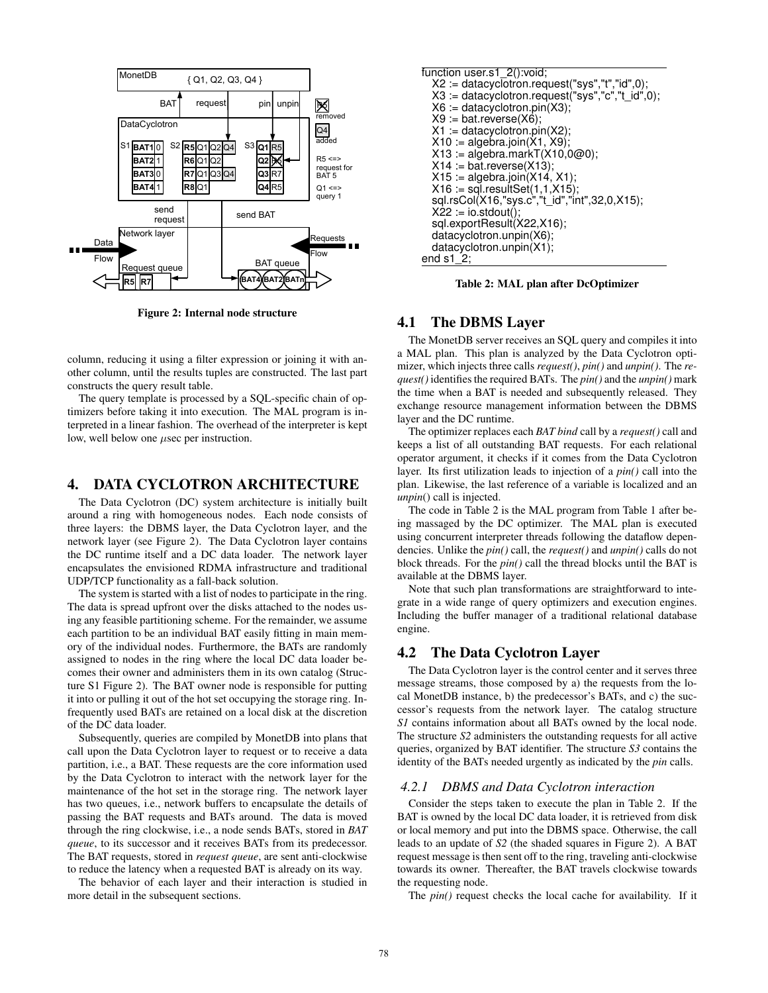

Figure 2: Internal node structure

column, reducing it using a filter expression or joining it with another column, until the results tuples are constructed. The last part constructs the query result table.

The query template is processed by a SQL-specific chain of optimizers before taking it into execution. The MAL program is interpreted in a linear fashion. The overhead of the interpreter is kept low, well below one *μsec* per instruction.

# 4. DATA CYCLOTRON ARCHITECTURE

The Data Cyclotron (DC) system architecture is initially built around a ring with homogeneous nodes. Each node consists of three layers: the DBMS layer, the Data Cyclotron layer, and the network layer (see Figure 2). The Data Cyclotron layer contains the DC runtime itself and a DC data loader. The network layer encapsulates the envisioned RDMA infrastructure and traditional UDP/TCP functionality as a fall-back solution.

The system is started with a list of nodes to participate in the ring. The data is spread upfront over the disks attached to the nodes using any feasible partitioning scheme. For the remainder, we assume each partition to be an individual BAT easily fitting in main memory of the individual nodes. Furthermore, the BATs are randomly assigned to nodes in the ring where the local DC data loader becomes their owner and administers them in its own catalog (Structure S1 Figure 2). The BAT owner node is responsible for putting it into or pulling it out of the hot set occupying the storage ring. Infrequently used BATs are retained on a local disk at the discretion of the DC data loader.

Subsequently, queries are compiled by MonetDB into plans that call upon the Data Cyclotron layer to request or to receive a data partition, i.e., a BAT. These requests are the core information used by the Data Cyclotron to interact with the network layer for the maintenance of the hot set in the storage ring. The network layer has two queues, i.e., network buffers to encapsulate the details of passing the BAT requests and BATs around. The data is moved through the ring clockwise, i.e., a node sends BATs, stored in *BAT queue*, to its successor and it receives BATs from its predecessor. The BAT requests, stored in *request queue*, are sent anti-clockwise to reduce the latency when a requested BAT is already on its way.

The behavior of each layer and their interaction is studied in more detail in the subsequent sections.

```
function user.s1_2():void;
 X2 := datacyclotron.request("sys","t","id",0);
  X3 := datacyclotron.request("sys","c","t_id",0);
  X6 := datacyclotron.pin(X3);
  X9 := \text{bat.reverse}(X6);X1 := datacyclotron.pin(X2);
  X10 := \text{algebra.join}(X1, X9);
 X13 := algebra.maxkT(X10,0@0);X14 := \text{bat.}reverse(X13);
 X15 := algebra.join(X14, X1)X16 := sql.resultSet(1,1,X15);
  sql.rsCol(X16,"sys.c","t_id","int",32,0,X15);
  X22 := io.stdout();sql.exportResult(X22,X16);
 datacyclotron.unpin(X6);
 datacyclotron.unpin(X1);
end s1_2;
```
Table 2: MAL plan after DcOptimizer

#### 4.1 The DBMS Layer

The MonetDB server receives an SQL query and compiles it into a MAL plan. This plan is analyzed by the Data Cyclotron optimizer, which injects three calls *request()*, *pin()* and *unpin()*. The *request()* identifies the required BATs. The *pin()* and the *unpin()* mark the time when a BAT is needed and subsequently released. They exchange resource management information between the DBMS layer and the DC runtime.

The optimizer replaces each *BAT bind* call by a *request()* call and keeps a list of all outstanding BAT requests. For each relational operator argument, it checks if it comes from the Data Cyclotron layer. Its first utilization leads to injection of a *pin()* call into the plan. Likewise, the last reference of a variable is localized and an *unpin*() call is injected.

The code in Table 2 is the MAL program from Table 1 after being massaged by the DC optimizer. The MAL plan is executed using concurrent interpreter threads following the dataflow dependencies. Unlike the *pin()* call, the *request()* and *unpin()* calls do not block threads. For the *pin()* call the thread blocks until the BAT is available at the DBMS layer.

Note that such plan transformations are straightforward to integrate in a wide range of query optimizers and execution engines. Including the buffer manager of a traditional relational database engine.

# 4.2 The Data Cyclotron Layer

The Data Cyclotron layer is the control center and it serves three message streams, those composed by a) the requests from the local MonetDB instance, b) the predecessor's BATs, and c) the successor's requests from the network layer. The catalog structure *S1* contains information about all BATs owned by the local node. The structure *S2* administers the outstanding requests for all active queries, organized by BAT identifier. The structure *S3* contains the identity of the BATs needed urgently as indicated by the *pin* calls.

#### *4.2.1 DBMS and Data Cyclotron interaction*

Consider the steps taken to execute the plan in Table 2. If the BAT is owned by the local DC data loader, it is retrieved from disk or local memory and put into the DBMS space. Otherwise, the call leads to an update of *S2* (the shaded squares in Figure 2). A BAT request message is then sent off to the ring, traveling anti-clockwise towards its owner. Thereafter, the BAT travels clockwise towards the requesting node.

The *pin()* request checks the local cache for availability. If it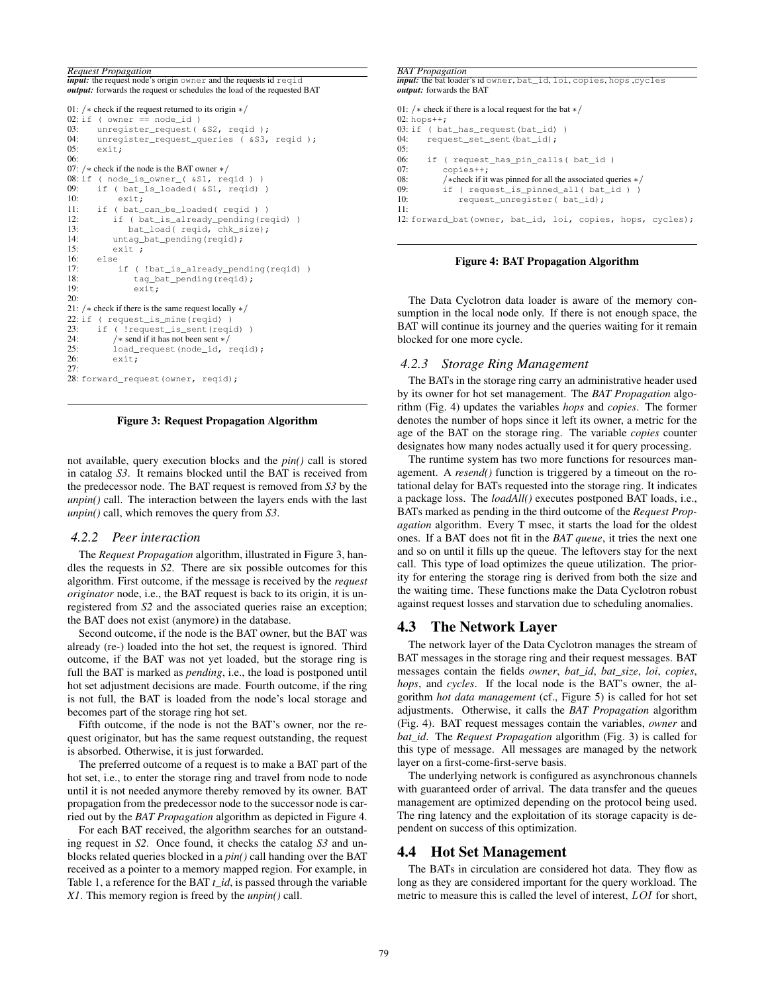*Request Propagation input:* the request node's origin owner and the requests id reqident *output:* forwards the request or schedules the load of the requested BAT

```
01: /∗ check if the request returned to its origin ∗/
02: if ( owner == node_id )<br>03: unregister request (
03: unregister_request( &S2, reqid );<br>04: unregister request queries ( &S3,
04: unregister_request_queries ( $S3, reqid );<br>05: exit:
        exit;
06:
07: /∗ check if the node is the BAT owner ∗/
08: if ( node_is_owner_( \&S1, reqid ) ) 09: if ( bat is loaded( \&S1, reqid)
09: if (bat_is\_loaded( <math>\&</math>SI, <math>reqid</math>))<br>10: exit:exit;
11: if ( bat_can_be_loaded( reqid ) )<br>12: if ( bat is already pending (re
             12: if ( bat_is_already_pending(reqid) )
13: bat_load( reqid, chk_size);<br>14: untag bat pending(regid);
             untag_bat_pending(reqid);
15: exit ;<br>16: else
16: else
              17: if ( !bat_is_already_pending(reqid) )
18: tag_bat_pending(reqid);<br>19: exit:
                   exit:
20:
21: /∗ check if there is the same request locally ∗/
22: if ( request_is_mine(reqid) )
23: if ( ! request_is_sent (reqid) 24 /* send if it has not been sent */
24: /* send if it has not been sent */<br>25: load request (node id.
             load_request(node_id, reqid);
26: exit;
27.28: forward_request(owner, reqid);
```
Figure 3: Request Propagation Algorithm

not available, query execution blocks and the *pin()* call is stored in catalog *S3*. It remains blocked until the BAT is received from the predecessor node. The BAT request is removed from *S3* by the *unpin()* call. The interaction between the layers ends with the last *unpin()* call, which removes the query from *S3*.

#### *4.2.2 Peer interaction*

The *Request Propagation* algorithm, illustrated in Figure 3, handles the requests in *S2*. There are six possible outcomes for this algorithm. First outcome, if the message is received by the *request originator* node, i.e., the BAT request is back to its origin, it is unregistered from *S2* and the associated queries raise an exception; the BAT does not exist (anymore) in the database.

Second outcome, if the node is the BAT owner, but the BAT was already (re-) loaded into the hot set, the request is ignored. Third outcome, if the BAT was not yet loaded, but the storage ring is full the BAT is marked as *pending*, i.e., the load is postponed until hot set adjustment decisions are made. Fourth outcome, if the ring is not full, the BAT is loaded from the node's local storage and becomes part of the storage ring hot set.

Fifth outcome, if the node is not the BAT's owner, nor the request originator, but has the same request outstanding, the request is absorbed. Otherwise, it is just forwarded.

The preferred outcome of a request is to make a BAT part of the hot set, i.e., to enter the storage ring and travel from node to node until it is not needed anymore thereby removed by its owner. BAT propagation from the predecessor node to the successor node is carried out by the *BAT Propagation* algorithm as depicted in Figure 4.

For each BAT received, the algorithm searches for an outstanding request in *S2*. Once found, it checks the catalog *S3* and unblocks related queries blocked in a *pin()* call handing over the BAT received as a pointer to a memory mapped region. For example, in Table 1, a reference for the BAT *t\_id*, is passed through the variable *X1*. This memory region is freed by the *unpin()* call.

| <b>BAT</b> Propagation                                                     |
|----------------------------------------------------------------------------|
| <i>input:</i> the bat loader's id owner, bat_id, loi, copies, hops, cycles |
| <i>output:</i> forwards the BAT                                            |
|                                                                            |
| 01: /* check if there is a local request for the bat $*/$                  |
| $02:$ hops $++$ ;                                                          |
|                                                                            |
| $03$ : if ( $bat\_has\_request$ ( $bat\_id$ ) )                            |
| 04:<br>request_set_sent(bat_id);                                           |
| 05:                                                                        |
| 06:<br>if ( request has pin calls ( bat id )                               |
| 07:<br>$copies++;$                                                         |
| 08:<br>/*check if it was pinned for all the associated queries $*/$        |
| 09:<br>if ( request_is_pinned_all( bat_id ) )                              |
| 10:<br>request unregister (bat id);                                        |
| 11:                                                                        |
|                                                                            |
| 12: forward_bat (owner, bat_id, loi, copies, hops, cycles);                |
|                                                                            |

Figure 4: BAT Propagation Algorithm

The Data Cyclotron data loader is aware of the memory consumption in the local node only. If there is not enough space, the BAT will continue its journey and the queries waiting for it remain blocked for one more cycle.

#### *4.2.3 Storage Ring Management*

The BATs in the storage ring carry an administrative header used by its owner for hot set management. The *BAT Propagation* algorithm (Fig. 4) updates the variables *hops* and *copies*. The former denotes the number of hops since it left its owner, a metric for the age of the BAT on the storage ring. The variable *copies* counter designates how many nodes actually used it for query processing.

The runtime system has two more functions for resources management. A *resend()* function is triggered by a timeout on the rotational delay for BATs requested into the storage ring. It indicates a package loss. The *loadAll()* executes postponed BAT loads, i.e., BATs marked as pending in the third outcome of the *Request Propagation* algorithm. Every T msec, it starts the load for the oldest ones. If a BAT does not fit in the *BAT queue*, it tries the next one and so on until it fills up the queue. The leftovers stay for the next call. This type of load optimizes the queue utilization. The priority for entering the storage ring is derived from both the size and the waiting time. These functions make the Data Cyclotron robust against request losses and starvation due to scheduling anomalies.

#### 4.3 The Network Layer

The network layer of the Data Cyclotron manages the stream of BAT messages in the storage ring and their request messages. BAT messages contain the fields *owner*, *bat\_id*, *bat\_size*, *loi*, *copies*, *hops*, and *cycles*. If the local node is the BAT's owner, the algorithm *hot data management* (cf., Figure 5) is called for hot set adjustments. Otherwise, it calls the *BAT Propagation* algorithm (Fig. 4). BAT request messages contain the variables, *owner* and *bat\_id*. The *Request Propagation* algorithm (Fig. 3) is called for this type of message. All messages are managed by the network layer on a first-come-first-serve basis.

The underlying network is configured as asynchronous channels with guaranteed order of arrival. The data transfer and the queues management are optimized depending on the protocol being used. The ring latency and the exploitation of its storage capacity is dependent on success of this optimization.

#### 4.4 Hot Set Management

The BATs in circulation are considered hot data. They flow as long as they are considered important for the query workload. The metric to measure this is called the level of interest, LOI for short,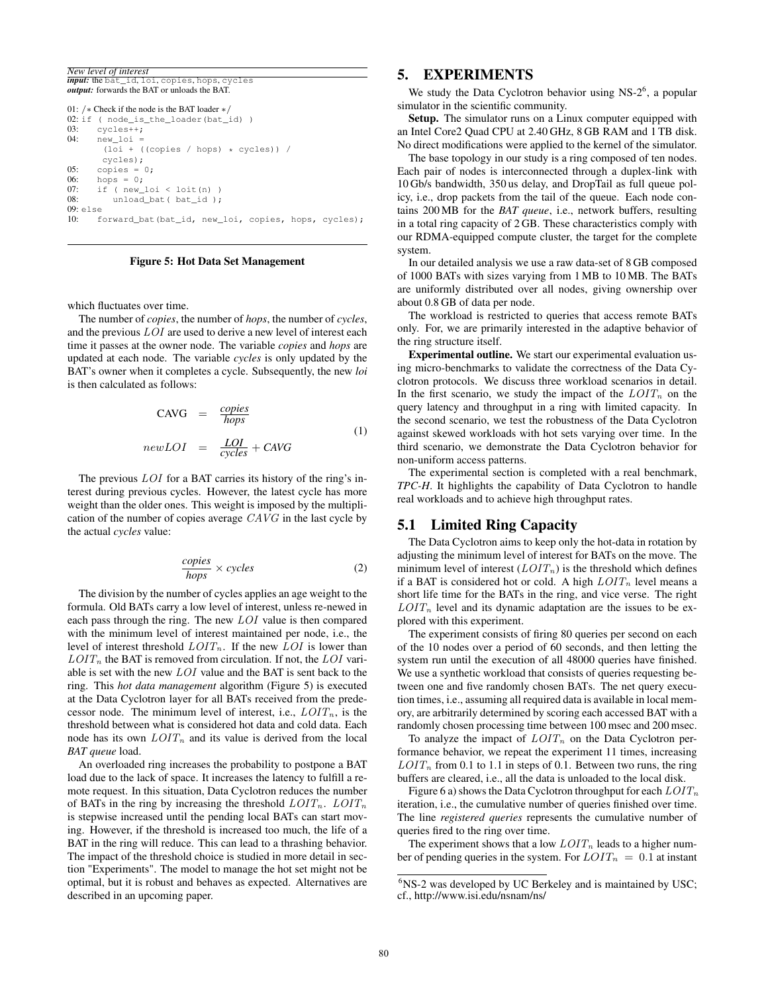*New level of interest input:* the bat\_id, loi, copies, hops, cycles *output:* forwards the BAT or unloads the BAT.

01: /∗ Check if the node is the BAT loader ∗/ 02: if ( node\_is\_the\_loader(bat\_id) 03:  $cycles++;$ <br>04:  $new 10i =$  $new\_loi =$ (loi + ((copies / hops) \* cycles)) / cycles); 05:  $\overline{\text{copies}} = 0;$ 06: hops =  $0$ ;<br>07: if (new 07: if (  $new\_loi <$   $loit(n)$  )<br>08: unload bat (  $bat id$  ): unload\_bat( bat\_id ); 09: else 10: forward\_bat(bat\_id, new\_loi, copies, hops, cycles);

#### Figure 5: Hot Data Set Management

which fluctuates over time.

The number of *copies*, the number of *hops*, the number of *cycles*, and the previous LOI are used to derive a new level of interest each time it passes at the owner node. The variable *copies* and *hops* are updated at each node. The variable *cycles* is only updated by the BAT's owner when it completes a cycle. Subsequently, the new *loi* is then calculated as follows:

$$
CAVG = \frac{copies}{hops}
$$
  
\n
$$
newLOI = \frac{LOI}{cycles} + CAVG
$$
 (1)

The previous *LOI* for a BAT carries its history of the ring's interest during previous cycles. However, the latest cycle has more weight than the older ones. This weight is imposed by the multiplication of the number of copies average CAVG in the last cycle by the actual *cycles* value:

$$
\frac{copies}{hops} \times cycles \tag{2}
$$

The division by the number of cycles applies an age weight to the formula. Old BATs carry a low level of interest, unless re-newed in each pass through the ring. The new LOI value is then compared with the minimum level of interest maintained per node, i.e., the level of interest threshold  $LOIT_n$ . If the new  $LOI$  is lower than  $LOIT_n$  the BAT is removed from circulation. If not, the  $LOI$  variable is set with the new LOI value and the BAT is sent back to the ring. This *hot data management* algorithm (Figure 5) is executed at the Data Cyclotron layer for all BATs received from the predecessor node. The minimum level of interest, i.e.,  $LOIT_n$ , is the threshold between what is considered hot data and cold data. Each node has its own  $LOIT_n$  and its value is derived from the local *BAT queue* load.

An overloaded ring increases the probability to postpone a BAT load due to the lack of space. It increases the latency to fulfill a remote request. In this situation, Data Cyclotron reduces the number of BATs in the ring by increasing the threshold  $LOIT_n$ .  $LOIT_n$ is stepwise increased until the pending local BATs can start moving. However, if the threshold is increased too much, the life of a BAT in the ring will reduce. This can lead to a thrashing behavior. The impact of the threshold choice is studied in more detail in section "Experiments". The model to manage the hot set might not be optimal, but it is robust and behaves as expected. Alternatives are described in an upcoming paper.

# 5. EXPERIMENTS

We study the Data Cyclotron behavior using  $NS-2^6$ , a popular simulator in the scientific community.

Setup. The simulator runs on a Linux computer equipped with an Intel Core2 Quad CPU at 2.40 GHz, 8 GB RAM and 1 TB disk. No direct modifications were applied to the kernel of the simulator.

The base topology in our study is a ring composed of ten nodes. Each pair of nodes is interconnected through a duplex-link with 10 Gb/s bandwidth, 350 us delay, and DropTail as full queue policy, i.e., drop packets from the tail of the queue. Each node contains 200 MB for the *BAT queue*, i.e., network buffers, resulting in a total ring capacity of 2 GB. These characteristics comply with our RDMA-equipped compute cluster, the target for the complete system.

In our detailed analysis we use a raw data-set of 8 GB composed of 1000 BATs with sizes varying from 1 MB to 10 MB. The BATs are uniformly distributed over all nodes, giving ownership over about 0.8 GB of data per node.

The workload is restricted to queries that access remote BATs only. For, we are primarily interested in the adaptive behavior of the ring structure itself.

Experimental outline. We start our experimental evaluation using micro-benchmarks to validate the correctness of the Data Cyclotron protocols. We discuss three workload scenarios in detail. In the first scenario, we study the impact of the  $LOIT_n$  on the query latency and throughput in a ring with limited capacity. In the second scenario, we test the robustness of the Data Cyclotron against skewed workloads with hot sets varying over time. In the third scenario, we demonstrate the Data Cyclotron behavior for non-uniform access patterns.

The experimental section is completed with a real benchmark, *TPC-H*. It highlights the capability of Data Cyclotron to handle real workloads and to achieve high throughput rates.

#### 5.1 Limited Ring Capacity

The Data Cyclotron aims to keep only the hot-data in rotation by adjusting the minimum level of interest for BATs on the move. The minimum level of interest  $(LOIT_n)$  is the threshold which defines if a BAT is considered hot or cold. A high  $LOIT_n$  level means a short life time for the BATs in the ring, and vice verse. The right  $LOIT_n$  level and its dynamic adaptation are the issues to be explored with this experiment.

The experiment consists of firing 80 queries per second on each of the 10 nodes over a period of 60 seconds, and then letting the system run until the execution of all 48000 queries have finished. We use a synthetic workload that consists of queries requesting between one and five randomly chosen BATs. The net query execution times, i.e., assuming all required data is available in local memory, are arbitrarily determined by scoring each accessed BAT with a randomly chosen processing time between 100 msec and 200 msec.

To analyze the impact of  $LOIT_n$  on the Data Cyclotron performance behavior, we repeat the experiment 11 times, increasing  $LOIT_n$  from 0.1 to 1.1 in steps of 0.1. Between two runs, the ring buffers are cleared, i.e., all the data is unloaded to the local disk.

Figure 6 a) shows the Data Cyclotron throughput for each  $LOIT_n$ iteration, i.e., the cumulative number of queries finished over time. The line *registered queries* represents the cumulative number of queries fired to the ring over time.

The experiment shows that a low  $LOIT_n$  leads to a higher number of pending queries in the system. For  $LOIT_n = 0.1$  at instant

 $6$ NS-2 was developed by UC Berkeley and is maintained by USC; cf., http://www.isi.edu/nsnam/ns/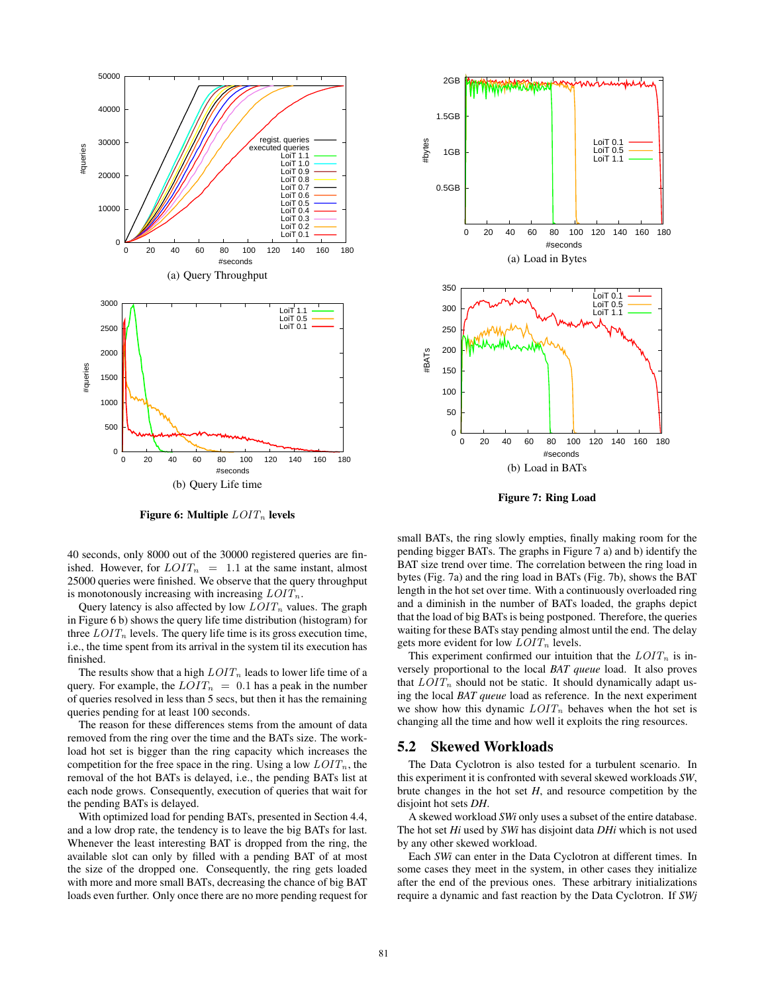

Figure 6: Multiple  $LOIT_n$  levels

40 seconds, only 8000 out of the 30000 registered queries are finished. However, for  $LOIT_n$  = 1.1 at the same instant, almost 25000 queries were finished. We observe that the query throughput is monotonously increasing with increasing  $LOIT_n$ .

Query latency is also affected by low  $LOIT_n$  values. The graph in Figure 6 b) shows the query life time distribution (histogram) for three  $LOIT_n$  levels. The query life time is its gross execution time, i.e., the time spent from its arrival in the system til its execution has finished.

The results show that a high  $LOIT_n$  leads to lower life time of a query. For example, the  $LOIT_n = 0.1$  has a peak in the number of queries resolved in less than 5 secs, but then it has the remaining queries pending for at least 100 seconds.

The reason for these differences stems from the amount of data removed from the ring over the time and the BATs size. The workload hot set is bigger than the ring capacity which increases the competition for the free space in the ring. Using a low  $LOIT_n$ , the removal of the hot BATs is delayed, i.e., the pending BATs list at each node grows. Consequently, execution of queries that wait for the pending BATs is delayed.

With optimized load for pending BATs, presented in Section 4.4, and a low drop rate, the tendency is to leave the big BATs for last. Whenever the least interesting BAT is dropped from the ring, the available slot can only by filled with a pending BAT of at most the size of the dropped one. Consequently, the ring gets loaded with more and more small BATs, decreasing the chance of big BAT loads even further. Only once there are no more pending request for



Figure 7: Ring Load

small BATs, the ring slowly empties, finally making room for the pending bigger BATs. The graphs in Figure 7 a) and b) identify the BAT size trend over time. The correlation between the ring load in bytes (Fig. 7a) and the ring load in BATs (Fig. 7b), shows the BAT length in the hot set over time. With a continuously overloaded ring and a diminish in the number of BATs loaded, the graphs depict that the load of big BATs is being postponed. Therefore, the queries waiting for these BATs stay pending almost until the end. The delay gets more evident for low  $LOIT_n$  levels.

This experiment confirmed our intuition that the  $LOIT_n$  is inversely proportional to the local *BAT queue* load. It also proves that  $LOIT_n$  should not be static. It should dynamically adapt using the local *BAT queue* load as reference. In the next experiment we show how this dynamic  $LOIT_n$  behaves when the hot set is changing all the time and how well it exploits the ring resources.

#### 5.2 Skewed Workloads

The Data Cyclotron is also tested for a turbulent scenario. In this experiment it is confronted with several skewed workloads *SW*, brute changes in the hot set  $H$ , and resource competition by the disjoint hot sets *DH*.

A skewed workload *SWi* only uses a subset of the entire database. The hot set *Hi* used by *SWi* has disjoint data *DHi* which is not used by any other skewed workload.

Each *SWi* can enter in the Data Cyclotron at different times. In some cases they meet in the system, in other cases they initialize after the end of the previous ones. These arbitrary initializations require a dynamic and fast reaction by the Data Cyclotron. If *SWj*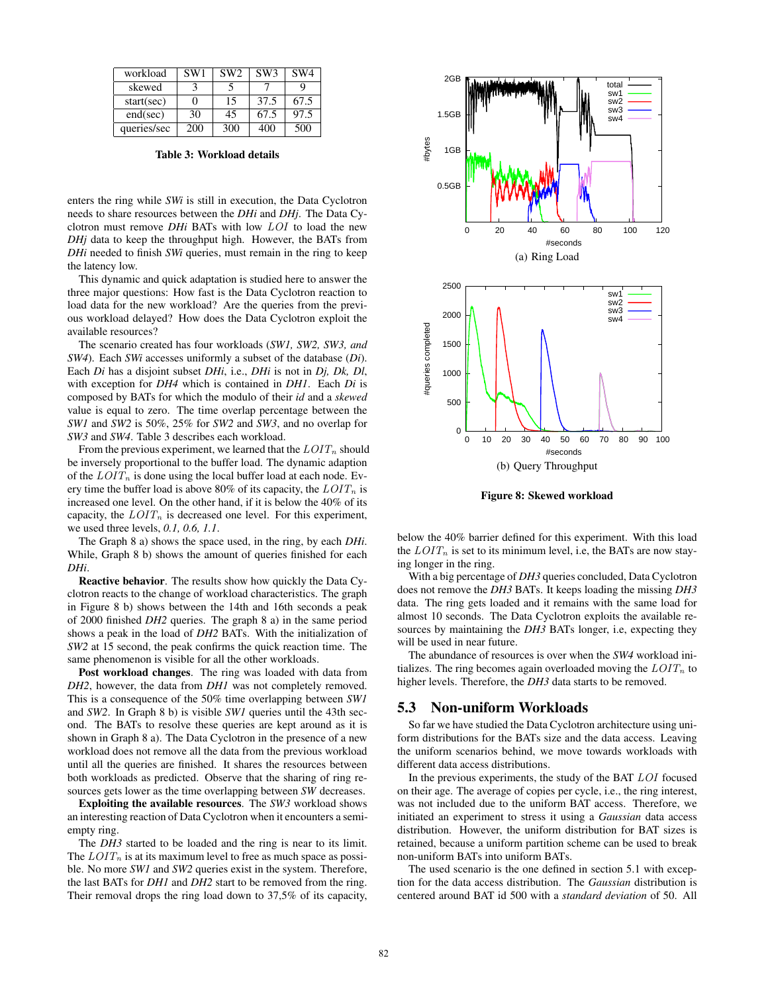| workload    | SW <sub>1</sub> | SW <sub>2</sub> | SW <sub>3</sub> | SW <sub>4</sub> |
|-------------|-----------------|-----------------|-----------------|-----------------|
| skewed      |                 |                 |                 |                 |
| start(sec)  |                 | 15              | 37.5            | 67.5            |
| end(sec)    | 30              | 45              | 67.5            | 97.5            |
| queries/sec | 200             | 300             | 400             | 500             |

Table 3: Workload details

enters the ring while *SWi* is still in execution, the Data Cyclotron needs to share resources between the *DHi* and *DHj*. The Data Cyclotron must remove *DHi* BATs with low LOI to load the new *DHj* data to keep the throughput high. However, the BATs from *DHi* needed to finish *SWi* queries, must remain in the ring to keep the latency low.

This dynamic and quick adaptation is studied here to answer the three major questions: How fast is the Data Cyclotron reaction to load data for the new workload? Are the queries from the previous workload delayed? How does the Data Cyclotron exploit the available resources?

The scenario created has four workloads (*SW1, SW2, SW3, and SW4*). Each *SWi* accesses uniformly a subset of the database (*Di*). Each *Di* has a disjoint subset *DHi*, i.e., *DHi* is not in *Dj, Dk, Dl*, with exception for *DH4* which is contained in *DH1*. Each *Di* is composed by BATs for which the modulo of their *id* and a *skewed* value is equal to zero. The time overlap percentage between the *SW1* and *SW2* is 50%, 25% for *SW2* and *SW3*, and no overlap for *SW3* and *SW4*. Table 3 describes each workload.

From the previous experiment, we learned that the  $LOIT_n$  should be inversely proportional to the buffer load. The dynamic adaption of the  $LOIT_n$  is done using the local buffer load at each node. Every time the buffer load is above 80% of its capacity, the  $LOIT_n$  is increased one level. On the other hand, if it is below the 40% of its capacity, the  $LOIT_n$  is decreased one level. For this experiment, we used three levels, *0.1, 0.6, 1.1*.

The Graph 8 a) shows the space used, in the ring, by each *DHi*. While, Graph 8 b) shows the amount of queries finished for each *DHi*.

Reactive behavior. The results show how quickly the Data Cyclotron reacts to the change of workload characteristics. The graph in Figure 8 b) shows between the 14th and 16th seconds a peak of 2000 finished *DH2* queries. The graph 8 a) in the same period shows a peak in the load of *DH2* BATs. With the initialization of *SW2* at 15 second, the peak confirms the quick reaction time. The same phenomenon is visible for all the other workloads.

Post workload changes. The ring was loaded with data from *DH2*, however, the data from *DH1* was not completely removed. This is a consequence of the 50% time overlapping between *SW1* and *SW2*. In Graph 8 b) is visible *SW1* queries until the 43th second. The BATs to resolve these queries are kept around as it is shown in Graph 8 a). The Data Cyclotron in the presence of a new workload does not remove all the data from the previous workload until all the queries are finished. It shares the resources between both workloads as predicted. Observe that the sharing of ring resources gets lower as the time overlapping between *SW* decreases.

Exploiting the available resources. The *SW3* workload shows an interesting reaction of Data Cyclotron when it encounters a semiempty ring.

The *DH3* started to be loaded and the ring is near to its limit. The  $LOIT_n$  is at its maximum level to free as much space as possible. No more *SW1* and *SW2* queries exist in the system. Therefore, the last BATs for *DH1* and *DH2* start to be removed from the ring. Their removal drops the ring load down to 37,5% of its capacity,



Figure 8: Skewed workload

below the 40% barrier defined for this experiment. With this load the  $LOIT_n$  is set to its minimum level, i.e, the BATs are now staying longer in the ring.

With a big percentage of *DH3* queries concluded, Data Cyclotron does not remove the *DH3* BATs. It keeps loading the missing *DH3* data. The ring gets loaded and it remains with the same load for almost 10 seconds. The Data Cyclotron exploits the available resources by maintaining the *DH3* BATs longer, i.e, expecting they will be used in near future.

The abundance of resources is over when the *SW4* workload initializes. The ring becomes again overloaded moving the  $LOIT_n$  to higher levels. Therefore, the *DH3* data starts to be removed.

#### 5.3 Non-uniform Workloads

So far we have studied the Data Cyclotron architecture using uniform distributions for the BATs size and the data access. Leaving the uniform scenarios behind, we move towards workloads with different data access distributions.

In the previous experiments, the study of the BAT LOI focused on their age. The average of copies per cycle, i.e., the ring interest, was not included due to the uniform BAT access. Therefore, we initiated an experiment to stress it using a *Gaussian* data access distribution. However, the uniform distribution for BAT sizes is retained, because a uniform partition scheme can be used to break non-uniform BATs into uniform BATs.

The used scenario is the one defined in section 5.1 with exception for the data access distribution. The *Gaussian* distribution is centered around BAT id 500 with a *standard deviation* of 50. All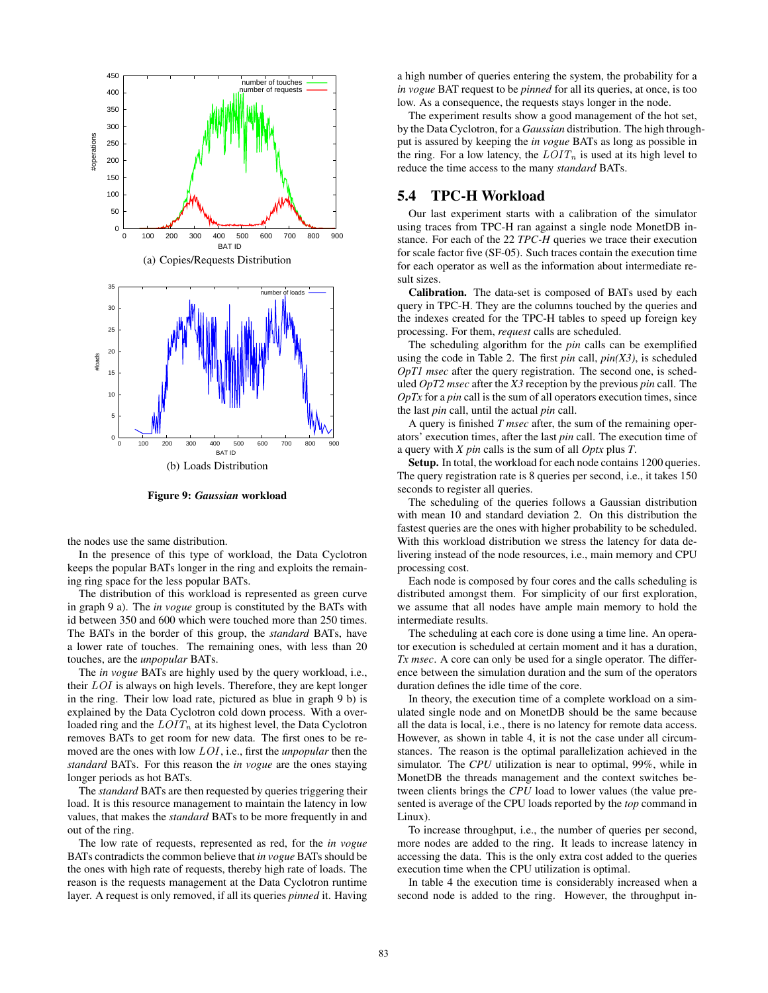

Figure 9: *Gaussian* workload

the nodes use the same distribution.

In the presence of this type of workload, the Data Cyclotron keeps the popular BATs longer in the ring and exploits the remaining ring space for the less popular BATs.

The distribution of this workload is represented as green curve in graph 9 a). The *in vogue* group is constituted by the BATs with id between 350 and 600 which were touched more than 250 times. The BATs in the border of this group, the *standard* BATs, have a lower rate of touches. The remaining ones, with less than 20 touches, are the *unpopular* BATs.

The *in vogue* BATs are highly used by the query workload, i.e., their  $LOI$  is always on high levels. Therefore, they are kept longer in the ring. Their low load rate, pictured as blue in graph 9 b) is explained by the Data Cyclotron cold down process. With a overloaded ring and the  $LOIT_n$  at its highest level, the Data Cyclotron removes BATs to get room for new data. The first ones to be removed are the ones with low LOI, i.e., first the *unpopular* then the *standard* BATs. For this reason the *in vogue* are the ones staying longer periods as hot BATs.

The *standard* BATs are then requested by queries triggering their load. It is this resource management to maintain the latency in low values, that makes the *standard* BATs to be more frequently in and out of the ring.

The low rate of requests, represented as red, for the *in vogue* BATs contradicts the common believe that *in vogue* BATs should be the ones with high rate of requests, thereby high rate of loads. The reason is the requests management at the Data Cyclotron runtime layer. A request is only removed, if all its queries *pinned* it. Having a high number of queries entering the system, the probability for a *in vogue* BAT request to be *pinned* for all its queries, at once, is too low. As a consequence, the requests stays longer in the node.

The experiment results show a good management of the hot set, by the Data Cyclotron, for a *Gaussian* distribution. The high throughput is assured by keeping the *in vogue* BATs as long as possible in the ring. For a low latency, the  $LOIT_n$  is used at its high level to reduce the time access to the many *standard* BATs.

# 5.4 TPC-H Workload

Our last experiment starts with a calibration of the simulator using traces from TPC-H ran against a single node MonetDB instance. For each of the 22 *TPC-H* queries we trace their execution for scale factor five (SF-05). Such traces contain the execution time for each operator as well as the information about intermediate result sizes.

Calibration. The data-set is composed of BATs used by each query in TPC-H. They are the columns touched by the queries and the indexes created for the TPC-H tables to speed up foreign key processing. For them, *request* calls are scheduled.

The scheduling algorithm for the *pin* calls can be exemplified using the code in Table 2. The first *pin* call, *pin(X3)*, is scheduled *OpT1 msec* after the query registration. The second one, is scheduled *OpT2 msec* after the *X3* reception by the previous *pin* call. The *OpTx* for a *pin* call is the sum of all operators execution times, since the last *pin* call, until the actual *pin* call.

A query is finished *T msec* after, the sum of the remaining operators' execution times, after the last *pin* call. The execution time of a query with *X pin* calls is the sum of all *Optx* plus *T*.

Setup. In total, the workload for each node contains 1200 queries. The query registration rate is 8 queries per second, i.e., it takes 150 seconds to register all queries.

The scheduling of the queries follows a Gaussian distribution with mean 10 and standard deviation 2. On this distribution the fastest queries are the ones with higher probability to be scheduled. With this workload distribution we stress the latency for data delivering instead of the node resources, i.e., main memory and CPU processing cost.

Each node is composed by four cores and the calls scheduling is distributed amongst them. For simplicity of our first exploration, we assume that all nodes have ample main memory to hold the intermediate results.

The scheduling at each core is done using a time line. An operator execution is scheduled at certain moment and it has a duration, *Tx msec*. A core can only be used for a single operator. The difference between the simulation duration and the sum of the operators duration defines the idle time of the core.

In theory, the execution time of a complete workload on a simulated single node and on MonetDB should be the same because all the data is local, i.e., there is no latency for remote data access. However, as shown in table 4, it is not the case under all circumstances. The reason is the optimal parallelization achieved in the simulator. The *CPU* utilization is near to optimal, 99%, while in MonetDB the threads management and the context switches between clients brings the *CPU* load to lower values (the value presented is average of the CPU loads reported by the *top* command in Linux).

To increase throughput, i.e., the number of queries per second, more nodes are added to the ring. It leads to increase latency in accessing the data. This is the only extra cost added to the queries execution time when the CPU utilization is optimal.

In table 4 the execution time is considerably increased when a second node is added to the ring. However, the throughput in-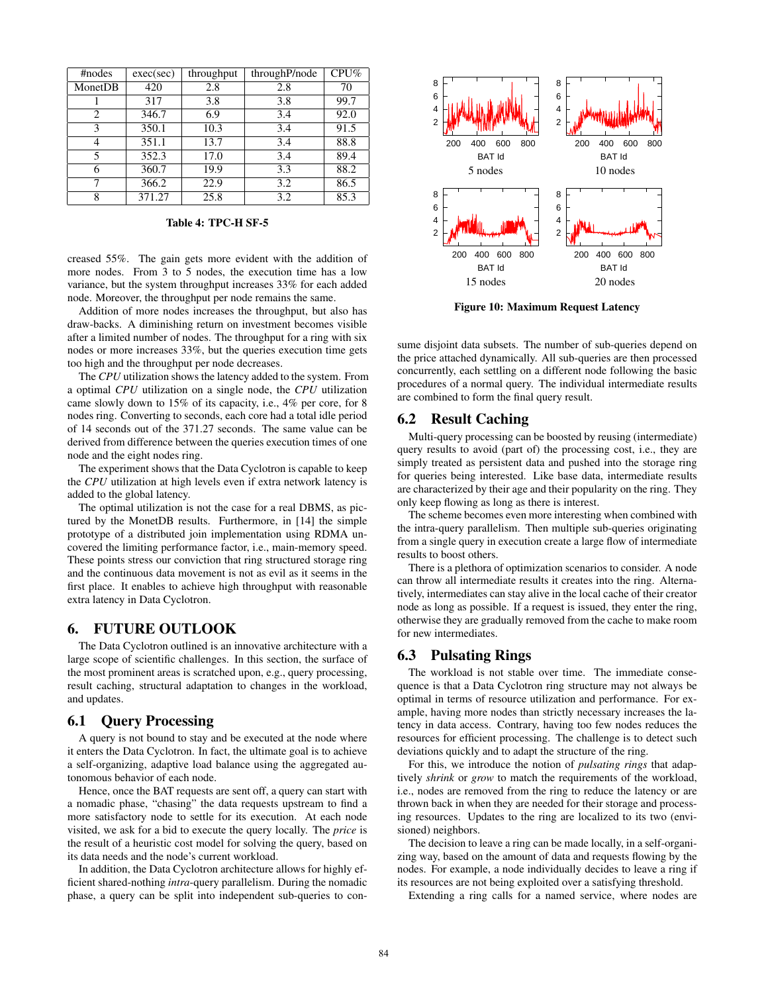| #nodes  | exec(sec) | throughput | throughP/node | $CPU\%$ |
|---------|-----------|------------|---------------|---------|
| MonetDB | 420       | 2.8        | 2.8           | 70      |
|         | 317       | 3.8        | 3.8           | 99.7    |
| 2       | 346.7     | 6.9        | 3.4           | 92.0    |
| 3       | 350.1     | 10.3       | 3.4           | 91.5    |
| 4       | 351.1     | 13.7       | 3.4           | 88.8    |
| 5       | 352.3     | 17.0       | 3.4           | 89.4    |
| 6       | 360.7     | 19.9       | 3.3           | 88.2    |
|         | 366.2     | 22.9       | 3.2           | 86.5    |
| 8       | 371.27    | 25.8       | 3.2           | 85.3    |

#### Table 4: TPC-H SF-5

creased 55%. The gain gets more evident with the addition of more nodes. From 3 to 5 nodes, the execution time has a low variance, but the system throughput increases 33% for each added node. Moreover, the throughput per node remains the same.

Addition of more nodes increases the throughput, but also has draw-backs. A diminishing return on investment becomes visible after a limited number of nodes. The throughput for a ring with six nodes or more increases 33%, but the queries execution time gets too high and the throughput per node decreases.

The *CPU* utilization shows the latency added to the system. From a optimal *CPU* utilization on a single node, the *CPU* utilization came slowly down to 15% of its capacity, i.e., 4% per core, for 8 nodes ring. Converting to seconds, each core had a total idle period of 14 seconds out of the 371.27 seconds. The same value can be derived from difference between the queries execution times of one node and the eight nodes ring.

The experiment shows that the Data Cyclotron is capable to keep the *CPU* utilization at high levels even if extra network latency is added to the global latency.

The optimal utilization is not the case for a real DBMS, as pictured by the MonetDB results. Furthermore, in [14] the simple prototype of a distributed join implementation using RDMA uncovered the limiting performance factor, i.e., main-memory speed. These points stress our conviction that ring structured storage ring and the continuous data movement is not as evil as it seems in the first place. It enables to achieve high throughput with reasonable extra latency in Data Cyclotron.

# 6. FUTURE OUTLOOK

The Data Cyclotron outlined is an innovative architecture with a large scope of scientific challenges. In this section, the surface of the most prominent areas is scratched upon, e.g., query processing, result caching, structural adaptation to changes in the workload, and updates.

#### 6.1 Query Processing

A query is not bound to stay and be executed at the node where it enters the Data Cyclotron. In fact, the ultimate goal is to achieve a self-organizing, adaptive load balance using the aggregated autonomous behavior of each node.

Hence, once the BAT requests are sent off, a query can start with a nomadic phase, "chasing" the data requests upstream to find a more satisfactory node to settle for its execution. At each node visited, we ask for a bid to execute the query locally. The *price* is the result of a heuristic cost model for solving the query, based on its data needs and the node's current workload.

In addition, the Data Cyclotron architecture allows for highly efficient shared-nothing *intra*-query parallelism. During the nomadic phase, a query can be split into independent sub-queries to con-



Figure 10: Maximum Request Latency

sume disjoint data subsets. The number of sub-queries depend on the price attached dynamically. All sub-queries are then processed concurrently, each settling on a different node following the basic procedures of a normal query. The individual intermediate results are combined to form the final query result.

# 6.2 Result Caching

Multi-query processing can be boosted by reusing (intermediate) query results to avoid (part of) the processing cost, i.e., they are simply treated as persistent data and pushed into the storage ring for queries being interested. Like base data, intermediate results are characterized by their age and their popularity on the ring. They only keep flowing as long as there is interest.

The scheme becomes even more interesting when combined with the intra-query parallelism. Then multiple sub-queries originating from a single query in execution create a large flow of intermediate results to boost others.

There is a plethora of optimization scenarios to consider. A node can throw all intermediate results it creates into the ring. Alternatively, intermediates can stay alive in the local cache of their creator node as long as possible. If a request is issued, they enter the ring, otherwise they are gradually removed from the cache to make room for new intermediates.

# 6.3 Pulsating Rings

The workload is not stable over time. The immediate consequence is that a Data Cyclotron ring structure may not always be optimal in terms of resource utilization and performance. For example, having more nodes than strictly necessary increases the latency in data access. Contrary, having too few nodes reduces the resources for efficient processing. The challenge is to detect such deviations quickly and to adapt the structure of the ring.

For this, we introduce the notion of *pulsating rings* that adaptively *shrink* or *grow* to match the requirements of the workload, i.e., nodes are removed from the ring to reduce the latency or are thrown back in when they are needed for their storage and processing resources. Updates to the ring are localized to its two (envisioned) neighbors.

The decision to leave a ring can be made locally, in a self-organizing way, based on the amount of data and requests flowing by the nodes. For example, a node individually decides to leave a ring if its resources are not being exploited over a satisfying threshold.

Extending a ring calls for a named service, where nodes are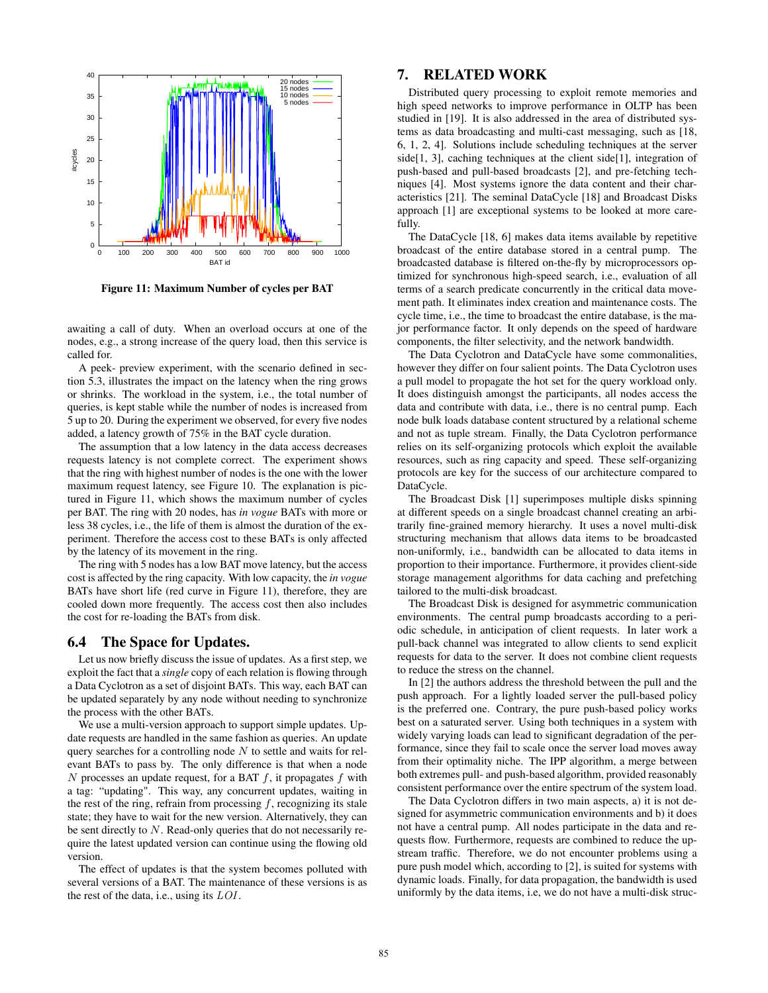

Figure 11: Maximum Number of cycles per BAT

awaiting a call of duty. When an overload occurs at one of the nodes, e.g., a strong increase of the query load, then this service is called for.

A peek- preview experiment, with the scenario defined in section 5.3, illustrates the impact on the latency when the ring grows or shrinks. The workload in the system, i.e., the total number of queries, is kept stable while the number of nodes is increased from 5 up to 20. During the experiment we observed, for every five nodes added, a latency growth of 75% in the BAT cycle duration.

The assumption that a low latency in the data access decreases requests latency is not complete correct. The experiment shows that the ring with highest number of nodes is the one with the lower maximum request latency, see Figure 10. The explanation is pictured in Figure 11, which shows the maximum number of cycles per BAT. The ring with 20 nodes, has *in vogue* BATs with more or less 38 cycles, i.e., the life of them is almost the duration of the experiment. Therefore the access cost to these BATs is only affected by the latency of its movement in the ring.

The ring with 5 nodes has a low BAT move latency, but the access cost is affected by the ring capacity. With low capacity, the *in vogue* BATs have short life (red curve in Figure 11), therefore, they are cooled down more frequently. The access cost then also includes the cost for re-loading the BATs from disk.

#### 6.4 The Space for Updates.

Let us now briefly discuss the issue of updates. As a first step, we exploit the fact that a *single* copy of each relation is flowing through a Data Cyclotron as a set of disjoint BATs. This way, each BAT can be updated separately by any node without needing to synchronize the process with the other BATs.

We use a multi-version approach to support simple updates. Update requests are handled in the same fashion as queries. An update query searches for a controlling node  $N$  to settle and waits for relevant BATs to pass by. The only difference is that when a node N processes an update request, for a BAT  $f$ , it propagates  $f$  with a tag: "updating". This way, any concurrent updates, waiting in the rest of the ring, refrain from processing  $f$ , recognizing its stale state; they have to wait for the new version. Alternatively, they can be sent directly to N. Read-only queries that do not necessarily require the latest updated version can continue using the flowing old version.

The effect of updates is that the system becomes polluted with several versions of a BAT. The maintenance of these versions is as the rest of the data, i.e., using its LOI.

# 7. RELATED WORK

Distributed query processing to exploit remote memories and high speed networks to improve performance in OLTP has been studied in [19]. It is also addressed in the area of distributed systems as data broadcasting and multi-cast messaging, such as [18, 6, 1, 2, 4]. Solutions include scheduling techniques at the server side[1, 3], caching techniques at the client side[1], integration of push-based and pull-based broadcasts [2], and pre-fetching techniques [4]. Most systems ignore the data content and their characteristics [21]. The seminal DataCycle [18] and Broadcast Disks approach [1] are exceptional systems to be looked at more carefully.

The DataCycle [18, 6] makes data items available by repetitive broadcast of the entire database stored in a central pump. The broadcasted database is filtered on-the-fly by microprocessors optimized for synchronous high-speed search, i.e., evaluation of all terms of a search predicate concurrently in the critical data movement path. It eliminates index creation and maintenance costs. The cycle time, i.e., the time to broadcast the entire database, is the major performance factor. It only depends on the speed of hardware components, the filter selectivity, and the network bandwidth.

The Data Cyclotron and DataCycle have some commonalities, however they differ on four salient points. The Data Cyclotron uses a pull model to propagate the hot set for the query workload only. It does distinguish amongst the participants, all nodes access the data and contribute with data, i.e., there is no central pump. Each node bulk loads database content structured by a relational scheme and not as tuple stream. Finally, the Data Cyclotron performance relies on its self-organizing protocols which exploit the available resources, such as ring capacity and speed. These self-organizing protocols are key for the success of our architecture compared to DataCycle.

The Broadcast Disk [1] superimposes multiple disks spinning at different speeds on a single broadcast channel creating an arbitrarily fine-grained memory hierarchy. It uses a novel multi-disk structuring mechanism that allows data items to be broadcasted non-uniformly, i.e., bandwidth can be allocated to data items in proportion to their importance. Furthermore, it provides client-side storage management algorithms for data caching and prefetching tailored to the multi-disk broadcast.

The Broadcast Disk is designed for asymmetric communication environments. The central pump broadcasts according to a periodic schedule, in anticipation of client requests. In later work a pull-back channel was integrated to allow clients to send explicit requests for data to the server. It does not combine client requests to reduce the stress on the channel.

In [2] the authors address the threshold between the pull and the push approach. For a lightly loaded server the pull-based policy is the preferred one. Contrary, the pure push-based policy works best on a saturated server. Using both techniques in a system with widely varying loads can lead to significant degradation of the performance, since they fail to scale once the server load moves away from their optimality niche. The IPP algorithm, a merge between both extremes pull- and push-based algorithm, provided reasonably consistent performance over the entire spectrum of the system load.

The Data Cyclotron differs in two main aspects, a) it is not designed for asymmetric communication environments and b) it does not have a central pump. All nodes participate in the data and requests flow. Furthermore, requests are combined to reduce the upstream traffic. Therefore, we do not encounter problems using a pure push model which, according to [2], is suited for systems with dynamic loads. Finally, for data propagation, the bandwidth is used uniformly by the data items, i.e, we do not have a multi-disk struc